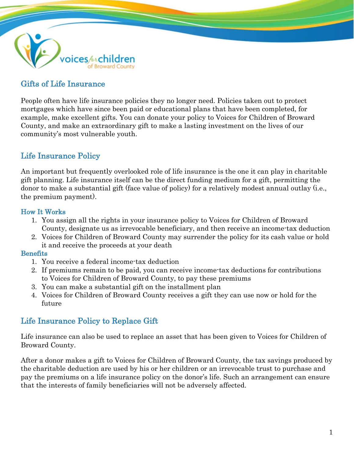

# Gifts of Life Insurance

People often have life insurance policies they no longer need. Policies taken out to protect mortgages which have since been paid or educational plans that have been completed, for example, make excellent gifts. You can donate your policy to Voices for Children of Broward County, and make an extraordinary gift to make a lasting investment on the lives of our community's most vulnerable youth.

## Life Insurance Policy

An important but frequently overlooked role of life insurance is the one it can play in charitable gift planning. Life insurance itself can be the direct funding medium for a gift, permitting the donor to make a substantial gift (face value of policy) for a relatively modest annual outlay (i.e., the premium payment).

### How It Works

- 1. You assign all the rights in your insurance policy to Voices for Children of Broward County, designate us as irrevocable beneficiary, and then receive an income-tax deduction
- 2. Voices for Children of Broward County may surrender the policy for its cash value or hold it and receive the proceeds at your death

### **Benefits**

- 1. You receive a federal income-tax deduction
- 2. If premiums remain to be paid, you can receive income-tax deductions for contributions to Voices for Children of Broward County, to pay these premiums
- 3. You can make a substantial gift on the installment plan
- 4. Voices for Children of Broward County receives a gift they can use now or hold for the future

## Life Insurance Policy to Replace Gift

Life insurance can also be used to replace an asset that has been given to Voices for Children of Broward County.

After a donor makes a gift to Voices for Children of Broward County, the tax savings produced by the charitable deduction are used by his or her children or an irrevocable trust to purchase and pay the premiums on a life insurance policy on the donor's life. Such an arrangement can ensure that the interests of family beneficiaries will not be adversely affected.